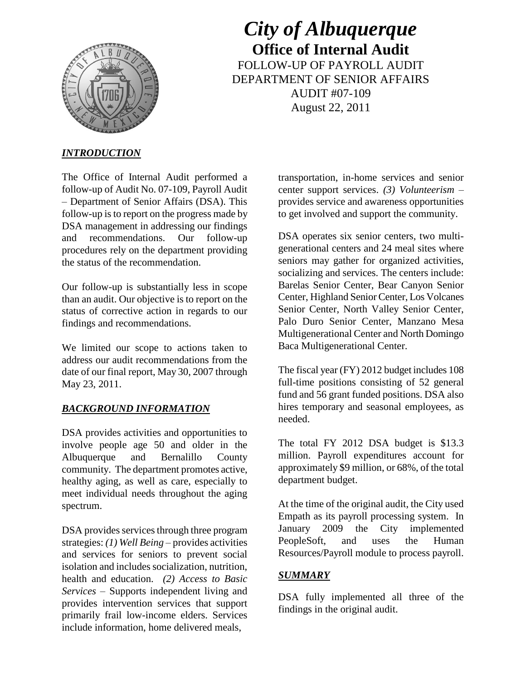

*City of Albuquerque* **Office of Internal Audit** FOLLOW-UP OF PAYROLL AUDIT DEPARTMENT OF SENIOR AFFAIRS AUDIT #07-109 August 22, 2011

## *INTRODUCTION*

The Office of Internal Audit performed a follow-up of Audit No. 07-109, Payroll Audit – Department of Senior Affairs (DSA). This follow-up is to report on the progress made by DSA management in addressing our findings and recommendations. Our follow-up procedures rely on the department providing the status of the recommendation.

Our follow-up is substantially less in scope than an audit. Our objective is to report on the status of corrective action in regards to our findings and recommendations.

We limited our scope to actions taken to address our audit recommendations from the date of our final report, May 30, 2007 through May 23, 2011.

## *BACKGROUND INFORMATION*

DSA provides activities and opportunities to involve people age 50 and older in the Albuquerque and Bernalillo County community. The department promotes active, healthy aging, as well as care, especially to meet individual needs throughout the aging spectrum.

DSA provides services through three program strategies: *(1) Well Being* – provides activities and services for seniors to prevent social isolation and includes socialization, nutrition, health and education. *(2) Access to Basic Services* – Supports independent living and provides intervention services that support primarily frail low-income elders. Services include information, home delivered meals,

transportation, in-home services and senior center support services. *(3) Volunteerism* – provides service and awareness opportunities to get involved and support the community.

DSA operates six senior centers, two multigenerational centers and 24 meal sites where seniors may gather for organized activities, socializing and services. The centers include: Barelas Senior Center, Bear Canyon Senior Center, Highland Senior Center, Los Volcanes Senior Center, North Valley Senior Center, Palo Duro Senior Center, Manzano Mesa Multigenerational Center and North Domingo Baca Multigenerational Center.

The fiscal year (FY) 2012 budget includes 108 full-time positions consisting of 52 general fund and 56 grant funded positions. DSA also hires temporary and seasonal employees, as needed.

The total FY 2012 DSA budget is \$13.3 million. Payroll expenditures account for approximately \$9 million, or 68%, of the total department budget.

At the time of the original audit, the City used Empath as its payroll processing system. In January 2009 the City implemented PeopleSoft, and uses the Human Resources/Payroll module to process payroll.

## *SUMMARY*

DSA fully implemented all three of the findings in the original audit.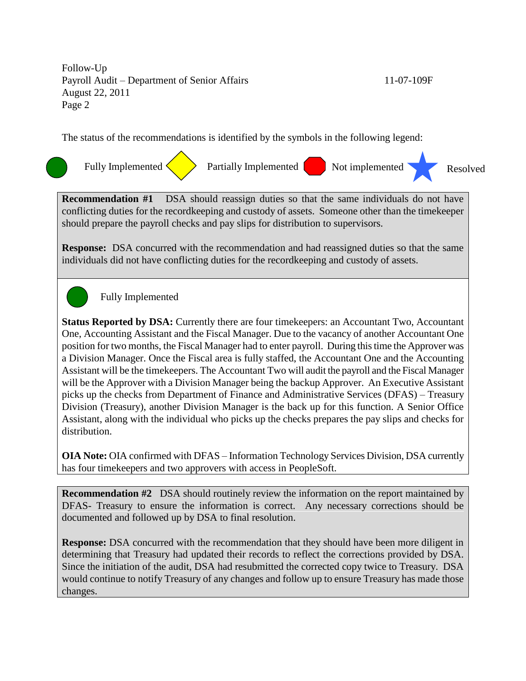Follow-Up Payroll Audit – Department of Senior Affairs 11-07-109F August 22, 2011 Page 2

The status of the recommendations is identified by the symbols in the following legend:



**Recommendation #1** DSA should reassign duties so that the same individuals do not have conflicting duties for the recordkeeping and custody of assets. Someone other than the timekeeper should prepare the payroll checks and pay slips for distribution to supervisors.

**Response:** DSA concurred with the recommendation and had reassigned duties so that the same individuals did not have conflicting duties for the recordkeeping and custody of assets.

Fully Implemented

**Status Reported by DSA:** Currently there are four timekeepers: an Accountant Two, Accountant One, Accounting Assistant and the Fiscal Manager. Due to the vacancy of another Accountant One position for two months, the Fiscal Manager had to enter payroll. During this time the Approver was a Division Manager. Once the Fiscal area is fully staffed, the Accountant One and the Accounting Assistant will be the timekeepers. The Accountant Two will audit the payroll and the Fiscal Manager will be the Approver with a Division Manager being the backup Approver. An Executive Assistant picks up the checks from Department of Finance and Administrative Services (DFAS) – Treasury Division (Treasury), another Division Manager is the back up for this function. A Senior Office Assistant, along with the individual who picks up the checks prepares the pay slips and checks for distribution.

**OIA Note:** OIA confirmed with DFAS – Information Technology Services Division, DSA currently has four timekeepers and two approvers with access in PeopleSoft.

**Recommendation #2** DSA should routinely review the information on the report maintained by DFAS- Treasury to ensure the information is correct. Any necessary corrections should be documented and followed up by DSA to final resolution.

**Response:** DSA concurred with the recommendation that they should have been more diligent in determining that Treasury had updated their records to reflect the corrections provided by DSA. Since the initiation of the audit, DSA had resubmitted the corrected copy twice to Treasury. DSA would continue to notify Treasury of any changes and follow up to ensure Treasury has made those changes.